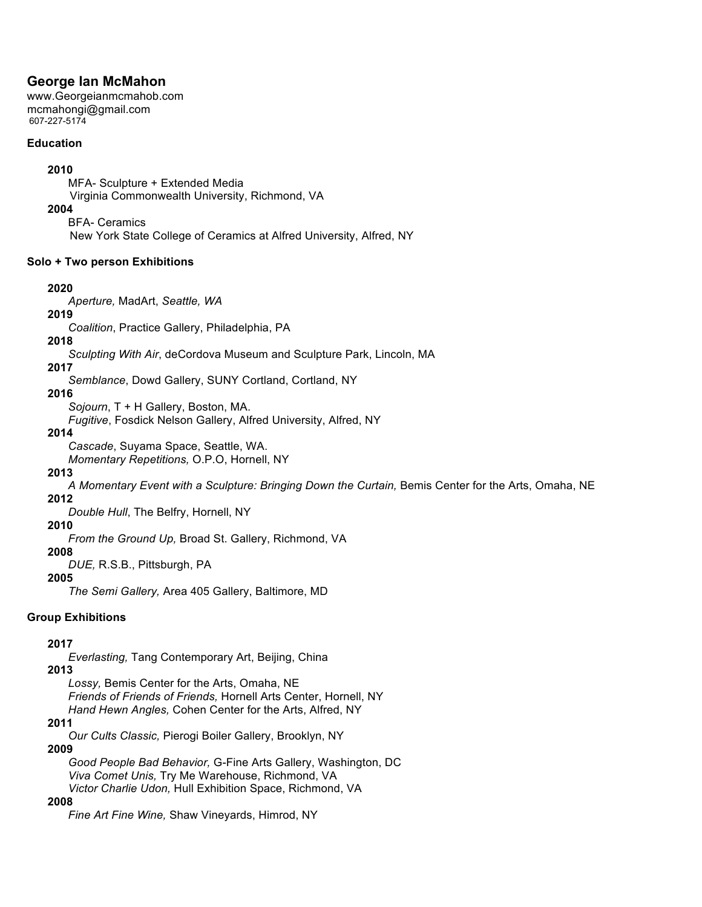# **George Ian McMahon**

www.Georgeianmcmahob.com mcmahongi@gmail.com 607-227-5174

#### **Education**

### **2010**

MFA- Sculpture + Extended Media Virginia Commonwealth University, Richmond, VA

#### **2004**

BFA- Ceramics

New York State College of Ceramics at Alfred University, Alfred, NY

#### **Solo + Two person Exhibitions**

#### **2020**

*Aperture,* MadArt, *Seattle, WA* 

# **2019**

*Coalition*, Practice Gallery, Philadelphia, PA

### **2018**

*Sculpting With Air*, deCordova Museum and Sculpture Park, Lincoln, MA

**2017**

*Semblance*, Dowd Gallery, SUNY Cortland, Cortland, NY

### **2016**

*Sojourn*, T + H Gallery, Boston, MA.

*Fugitive*, Fosdick Nelson Gallery, Alfred University, Alfred, NY

#### **2014**

*Cascade*, Suyama Space, Seattle, WA.

*Momentary Repetitions,* O.P.O, Hornell, NY

# **2013**

*A Momentary Event with a Sculpture: Bringing Down the Curtain,* Bemis Center for the Arts, Omaha, NE

# **2012**

*Double Hull*, The Belfry, Hornell, NY

# **2010**

*From the Ground Up,* Broad St. Gallery, Richmond, VA

# **2008**

*DUE,* R.S.B., Pittsburgh, PA

### **2005**

*The Semi Gallery,* Area 405 Gallery, Baltimore, MD

# **Group Exhibitions**

# **2017**

*Everlasting,* Tang Contemporary Art, Beijing, China

**2013** *Lossy,* Bemis Center for the Arts, Omaha, NE *Friends of Friends of Friends,* Hornell Arts Center, Hornell, NY *Hand Hewn Angles,* Cohen Center for the Arts, Alfred, NY

#### **2011**

*Our Cults Classic,* Pierogi Boiler Gallery, Brooklyn, NY

#### **2009**

*Good People Bad Behavior,* G-Fine Arts Gallery, Washington, DC *Viva Comet Unis,* Try Me Warehouse, Richmond, VA *Victor Charlie Udon,* Hull Exhibition Space, Richmond, VA

#### **2008**

*Fine Art Fine Wine,* Shaw Vineyards, Himrod, NY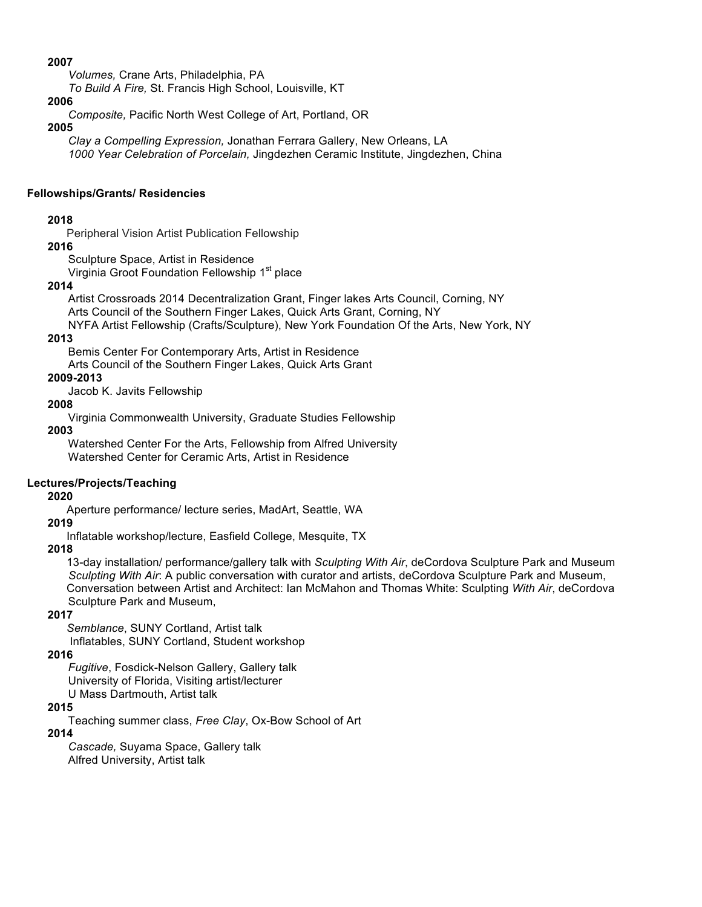#### **2007**

*Volumes,* Crane Arts, Philadelphia, PA

*To Build A Fire,* St. Francis High School, Louisville, KT

#### **2006**

*Composite,* Pacific North West College of Art, Portland, OR

#### **2005**

*Clay a Compelling Expression,* Jonathan Ferrara Gallery, New Orleans, LA *1000 Year Celebration of Porcelain,* Jingdezhen Ceramic Institute, Jingdezhen, China

#### **Fellowships/Grants/ Residencies**

### **2018**

Peripheral Vision Artist Publication Fellowship

#### **2016**

Sculpture Space, Artist in Residence

Virginia Groot Foundation Fellowship 1<sup>st</sup> place

#### **2014**

Artist Crossroads 2014 Decentralization Grant, Finger lakes Arts Council, Corning, NY Arts Council of the Southern Finger Lakes, Quick Arts Grant, Corning, NY NYFA Artist Fellowship (Crafts/Sculpture), New York Foundation Of the Arts, New York, NY

#### **2013**

Bemis Center For Contemporary Arts, Artist in Residence

Arts Council of the Southern Finger Lakes, Quick Arts Grant

# **2009-2013**

Jacob K. Javits Fellowship

#### **2008**

Virginia Commonwealth University, Graduate Studies Fellowship

**2003**

Watershed Center For the Arts, Fellowship from Alfred University Watershed Center for Ceramic Arts, Artist in Residence

# **Lectures/Projects/Teaching**

# **2020**

Aperture performance/ lecture series, MadArt, Seattle, WA

#### **2019**

Inflatable workshop/lecture, Easfield College, Mesquite, TX

# **2018**

13-day installation/ performance/gallery talk with *Sculpting With Air*, deCordova Sculpture Park and Museum  *Sculpting With Air*: A public conversation with curator and artists, deCordova Sculpture Park and Museum, Conversation between Artist and Architect: Ian McMahon and Thomas White: Sculpting *With Air*, deCordova Sculpture Park and Museum,

#### **2017**

 *Semblance*, SUNY Cortland, Artist talk Inflatables, SUNY Cortland, Student workshop

#### **2016**

*Fugitive*, Fosdick-Nelson Gallery, Gallery talk University of Florida, Visiting artist/lecturer U Mass Dartmouth, Artist talk

#### **2015**

Teaching summer class, *Free Clay*, Ox-Bow School of Art

#### **2014**

*Cascade,* Suyama Space, Gallery talk Alfred University, Artist talk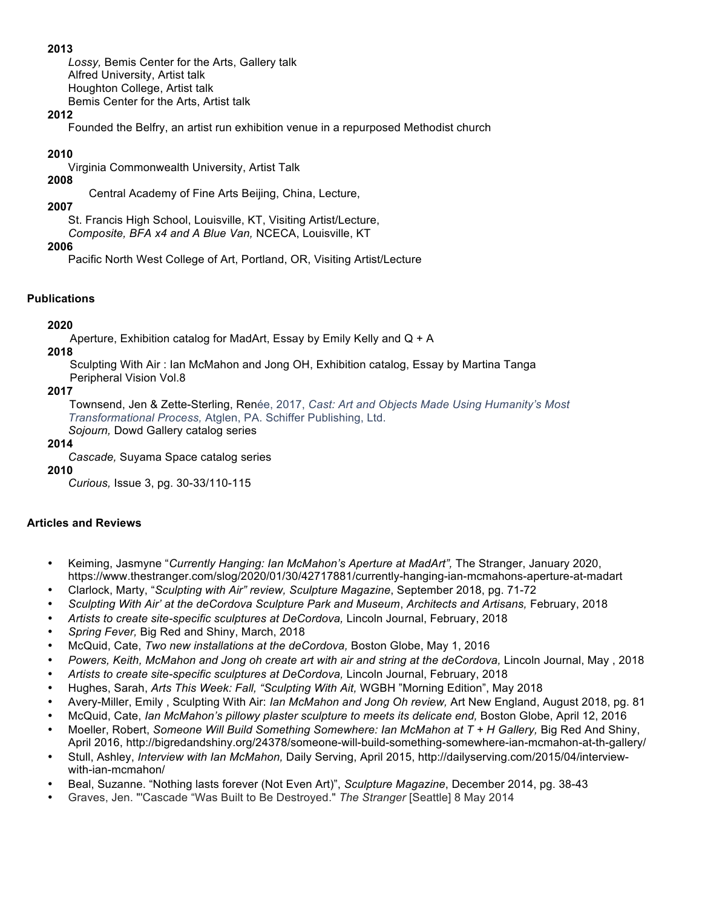#### **2013**

*Lossy,* Bemis Center for the Arts, Gallery talk Alfred University, Artist talk Houghton College, Artist talk Bemis Center for the Arts, Artist talk

### **2012**

Founded the Belfry, an artist run exhibition venue in a repurposed Methodist church

# **2010**

Virginia Commonwealth University, Artist Talk

**2008**

Central Academy of Fine Arts Beijing, China, Lecture,

# **2007**

St. Francis High School, Louisville, KT, Visiting Artist/Lecture,

*Composite, BFA x4 and A Blue Van,* NCECA, Louisville, KT

# **2006**

Pacific North West College of Art, Portland, OR, Visiting Artist/Lecture

# **Publications**

# **2020**

Aperture, Exhibition catalog for MadArt, Essay by Emily Kelly and Q + A

# **2018**

Sculpting With Air : Ian McMahon and Jong OH, Exhibition catalog, Essay by Martina Tanga Peripheral Vision Vol.8

# **2017**

Townsend, Jen & Zette-Sterling, Renée, 2017, *Cast: Art and Objects Made Using Humanity's Most Transformational Process,* Atglen, PA. Schiffer Publishing, Ltd. *Sojourn,* Dowd Gallery catalog series

#### **2014**

*Cascade,* Suyama Space catalog series

# **2010**

*Curious,* Issue 3, pg. 30-33/110-115

# **Articles and Reviews**

- Keiming, Jasmyne "*Currently Hanging: Ian McMahon's Aperture at MadArt",* The Stranger, January 2020, https://www.thestranger.com/slog/2020/01/30/42717881/currently-hanging-ian-mcmahons-aperture-at-madart
- Clarlock, Marty, "*Sculpting with Air" review, Sculpture Magazine*, September 2018, pg. 71-72
- *Sculpting With Air' at the deCordova Sculpture Park and Museum*, *Architects and Artisans,* February, 2018
- *Artists to create site-specific sculptures at DeCordova,* Lincoln Journal, February, 2018
- *Spring Fever,* Big Red and Shiny, March, 2018
- McQuid, Cate, *Two new installations at the deCordova,* Boston Globe, May 1, 2016
- *Powers, Keith, McMahon and Jong oh create art with air and string at the deCordova,* Lincoln Journal, May , 2018
- Artists to create site-specific sculptures at DeCordova, Lincoln Journal, February, 2018
- Hughes, Sarah, *Arts This Week: Fall, "Sculpting With Ait,* WGBH "Morning Edition", May 2018
- Avery-Miller, Emily , Sculpting With Air: *Ian McMahon and Jong Oh review,* Art New England, August 2018, pg. 81
- McQuid, Cate, *Ian McMahon's pillowy plaster sculpture to meets its delicate end*, Boston Globe, April 12, 2016
- Moeller, Robert, Someone Will Build Something Somewhere: Ian McMahon at T + H Gallery, Big Red And Shiny, April 2016, http://bigredandshiny.org/24378/someone-will-build-something-somewhere-ian-mcmahon-at-th-gallery/
- Stull, Ashley, *Interview with Ian McMahon,* Daily Serving, April 2015, http://dailyserving.com/2015/04/interviewwith-ian-mcmahon/
- Beal, Suzanne. "Nothing lasts forever (Not Even Art)", *Sculpture Magazine*, December 2014, pg. 38-43
- Graves, Jen. "'Cascade "Was Built to Be Destroyed." *The Stranger* [Seattle] 8 May 2014